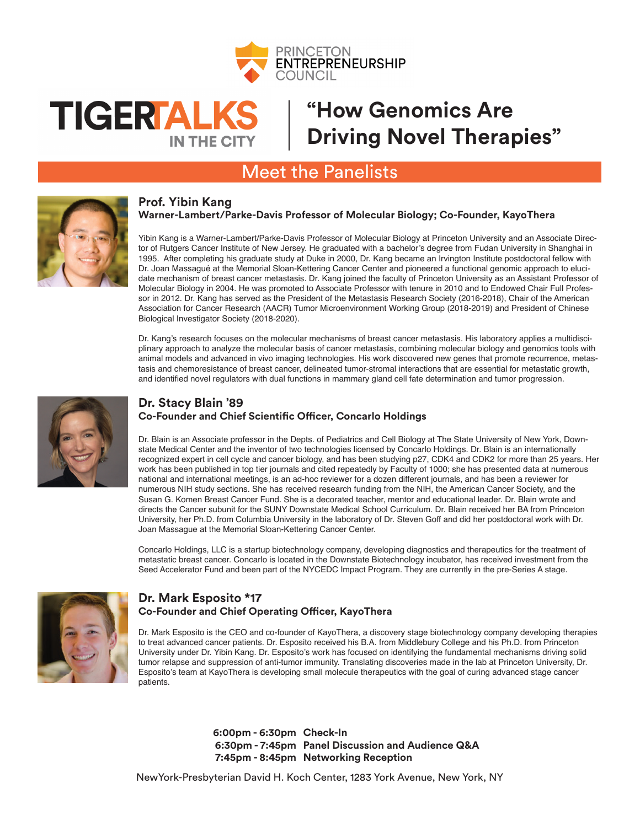

# **TIGERFALKS IN THE CITY**

## **"How Genomics Are Driving Novel Therapies"**

### Meet the Panelists



#### **Prof. Yibin Kang Warner-Lambert/Parke-Davis Professor of Molecular Biology; Co-Founder, KayoThera**

Yibin Kang is a Warner-Lambert/Parke-Davis Professor of Molecular Biology at Princeton University and an Associate Director of Rutgers Cancer Institute of New Jersey. He graduated with a bachelor's degree from Fudan University in Shanghai in 1995. After completing his graduate study at Duke in 2000, Dr. Kang became an Irvington Institute postdoctoral fellow with Dr. Joan Massagué at the Memorial Sloan-Kettering Cancer Center and pioneered a functional genomic approach to elucidate mechanism of breast cancer metastasis. Dr. Kang joined the faculty of Princeton University as an Assistant Professor of Molecular Biology in 2004. He was promoted to Associate Professor with tenure in 2010 and to Endowed Chair Full Professor in 2012. Dr. Kang has served as the President of the Metastasis Research Society (2016-2018), Chair of the American Association for Cancer Research (AACR) Tumor Microenvironment Working Group (2018-2019) and President of Chinese Biological Investigator Society (2018-2020).

Dr. Kang's research focuses on the molecular mechanisms of breast cancer metastasis. His laboratory applies a multidisciplinary approach to analyze the molecular basis of cancer metastasis, combining molecular biology and genomics tools with animal models and advanced in vivo imaging technologies. His work discovered new genes that promote recurrence, metastasis and chemoresistance of breast cancer, delineated tumor-stromal interactions that are essential for metastatic growth, and identified novel regulators with dual functions in mammary gland cell fate determination and tumor progression.



### **Dr. Stacy Blain '89 Co-Founder and Chief Scientific Officer, Concarlo Holdings**

Dr. Blain is an Associate professor in the Depts. of Pediatrics and Cell Biology at The State University of New York, Downstate Medical Center and the inventor of two technologies licensed by Concarlo Holdings. Dr. Blain is an internationally recognized expert in cell cycle and cancer biology, and has been studying p27, CDK4 and CDK2 for more than 25 years. Her work has been published in top tier journals and cited repeatedly by Faculty of 1000; she has presented data at numerous national and international meetings, is an ad-hoc reviewer for a dozen different journals, and has been a reviewer for numerous NIH study sections. She has received research funding from the NIH, the American Cancer Society, and the Susan G. Komen Breast Cancer Fund. She is a decorated teacher, mentor and educational leader. Dr. Blain wrote and directs the Cancer subunit for the SUNY Downstate Medical School Curriculum. Dr. Blain received her BA from Princeton University, her Ph.D. from Columbia University in the laboratory of Dr. Steven Goff and did her postdoctoral work with Dr. Joan Massague at the Memorial Sloan-Kettering Cancer Center.

Concarlo Holdings, LLC is a startup biotechnology company, developing diagnostics and therapeutics for the treatment of metastatic breast cancer. Concarlo is located in the Downstate Biotechnology incubator, has received investment from the Seed Accelerator Fund and been part of the NYCEDC Impact Program. They are currently in the pre-Series A stage.



### **Dr. Mark Esposito \*17 Co-Founder and Chief Operating Officer, KayoThera**

Dr. Mark Esposito is the CEO and co-founder of KayoThera, a discovery stage biotechnology company developing therapies to treat advanced cancer patients. Dr. Esposito received his B.A. from Middlebury College and his Ph.D. from Princeton University under Dr. Yibin Kang. Dr. Esposito's work has focused on identifying the fundamental mechanisms driving solid tumor relapse and suppression of anti-tumor immunity. Translating discoveries made in the lab at Princeton University, Dr. Esposito's team at KayoThera is developing small molecule therapeutics with the goal of curing advanced stage cancer **patients** 

> **6:00pm - 6:30pm Check-In 6:30pm - 7:45pm Panel Discussion and Audience Q&A 7:45pm - 8:45pm Networking Reception**

NewYork-Presbyterian David H. Koch Center, 1283 York Avenue, New York, NY